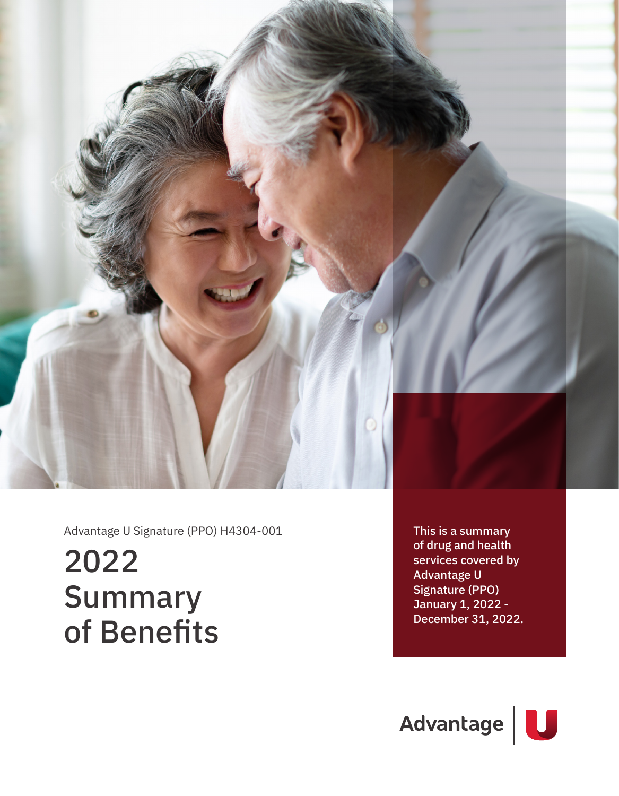

Advantage U Signature (PPO) H4304-001

# 2022 Summary of Benefits

This is a summary of drug and health services covered by Advantage U Signature (PPO) January 1, 2022 - December 31, 2022.

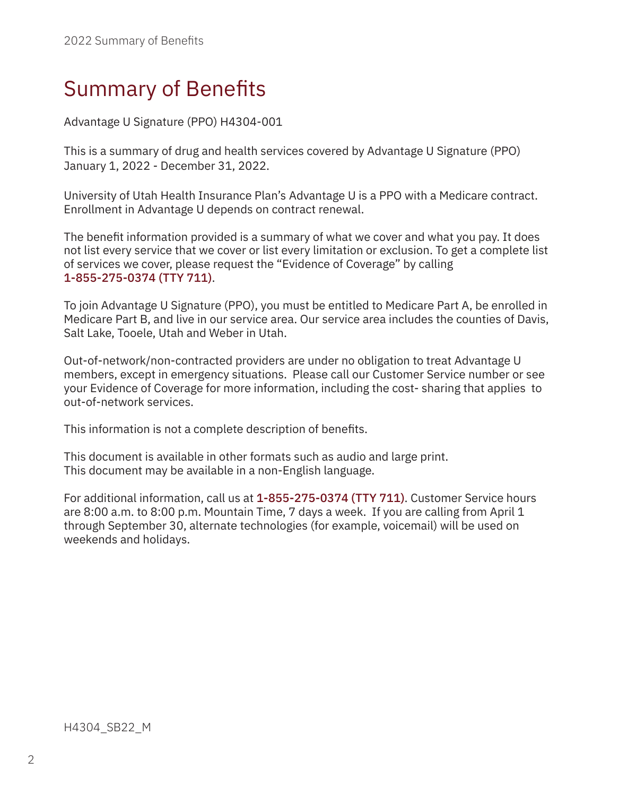Advantage U Signature (PPO) H4304-001

This is a summary of drug and health services covered by Advantage U Signature (PPO) January 1, 2022 - December 31, 2022.

University of Utah Health Insurance Plan's Advantage U is a PPO with a Medicare contract. Enrollment in Advantage U depends on contract renewal.

The benefit information provided is a summary of what we cover and what you pay. It does not list every service that we cover or list every limitation or exclusion. To get a complete list of services we cover, please request the "Evidence of Coverage" by calling 1-855-275-0374 (TTY 711).

To join Advantage U Signature (PPO), you must be entitled to Medicare Part A, be enrolled in Medicare Part B, and live in our service area. Our service area includes the counties of Davis, Salt Lake, Tooele, Utah and Weber in Utah.

Out-of-network/non-contracted providers are under no obligation to treat Advantage U members, except in emergency situations. Please call our Customer Service number or see your Evidence of Coverage for more information, including the cost- sharing that applies to out-of-network services.

This information is not a complete description of benefits.

This document is available in other formats such as audio and large print. This document may be available in a non-English language.

For additional information, call us at 1-855-275-0374 (TTY 711). Customer Service hours are 8:00 a.m. to 8:00 p.m. Mountain Time, 7 days a week. If you are calling from April 1 through September 30, alternate technologies (for example, voicemail) will be used on weekends and holidays.

H4304 SB22 M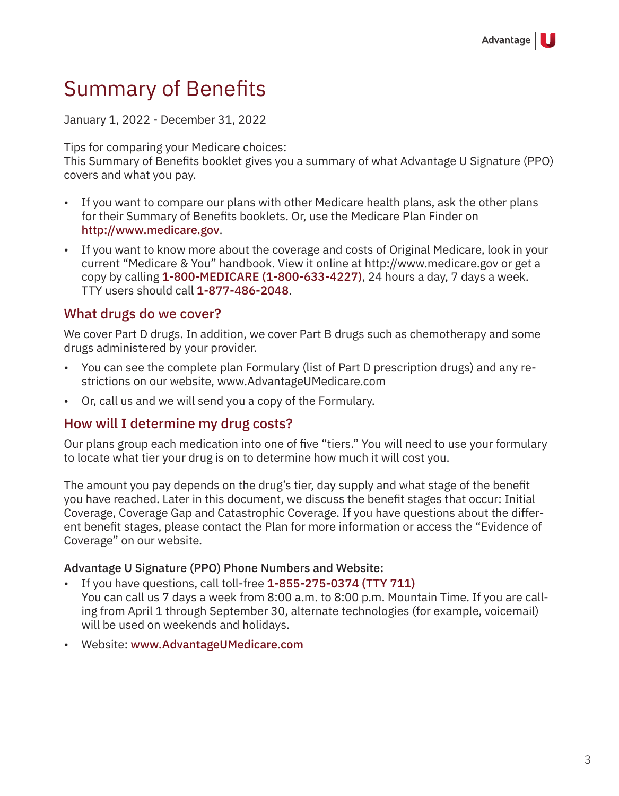January 1, 2022 - December 31, 2022

Tips for comparing your Medicare choices:

This Summary of Benefits booklet gives you a summary of what Advantage U Signature (PPO) covers and what you pay.

- If you want to compare our plans with other Medicare health plans, ask the other plans for their Summary of Benefits booklets. Or, use the Medicare Plan Finder on http://www.medicare.gov.
- If you want to know more about the coverage and costs of Original Medicare, look in your current "Medicare & You" handbook. View it online at http://www.medicare.gov or get a copy by calling 1-800-MEDICARE (1-800-633-4227), 24 hours a day, 7 days a week. TTY users should call 1-877-486-2048.

#### What drugs do we cover?

We cover Part D drugs. In addition, we cover Part B drugs such as chemotherapy and some drugs administered by your provider.

- You can see the complete plan Formulary (list of Part D prescription drugs) and any restrictions on our website, www.AdvantageUMedicare.com
- Or, call us and we will send you a copy of the Formulary.

#### How will I determine my drug costs?

Our plans group each medication into one of five "tiers." You will need to use your formulary to locate what tier your drug is on to determine how much it will cost you.

The amount you pay depends on the drug's tier, day supply and what stage of the benefit you have reached. Later in this document, we discuss the benefit stages that occur: Initial Coverage, Coverage Gap and Catastrophic Coverage. If you have questions about the different benefit stages, please contact the Plan for more information or access the "Evidence of Coverage" on our website.

#### Advantage U Signature (PPO) Phone Numbers and Website:

- If you have questions, call toll-free 1-855-275-0374 (TTY 711) You can call us 7 days a week from 8:00 a.m. to 8:00 p.m. Mountain Time. If you are calling from April 1 through September 30, alternate technologies (for example, voicemail) will be used on weekends and holidays.
- Website: www.AdvantageUMedicare.com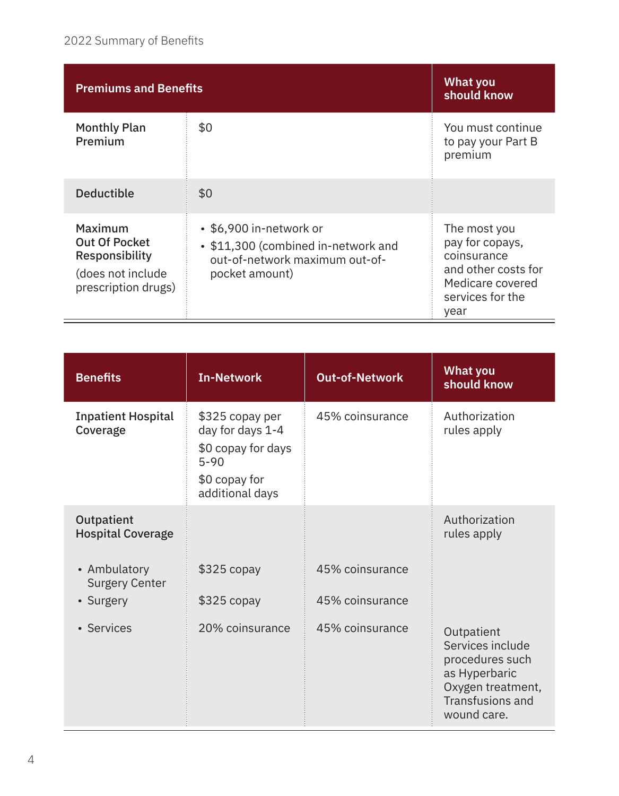| <b>Premiums and Benefits</b>                                                                  |                                                                                                                    | <b>What you</b><br>should know                                                                                        |
|-----------------------------------------------------------------------------------------------|--------------------------------------------------------------------------------------------------------------------|-----------------------------------------------------------------------------------------------------------------------|
| <b>Monthly Plan</b><br><b>Premium</b>                                                         | \$0                                                                                                                | You must continue<br>to pay your Part B<br>premium                                                                    |
| <b>Deductible</b>                                                                             | \$0                                                                                                                |                                                                                                                       |
| Maximum<br><b>Out Of Pocket</b><br>Responsibility<br>(does not include<br>prescription drugs) | • \$6,900 in-network or<br>• \$11,300 (combined in-network and<br>out-of-network maximum out-of-<br>pocket amount) | The most you<br>pay for copays,<br>coinsurance<br>and other costs for<br>Medicare covered<br>services for the<br>year |

| <b>Benefits</b>                        | <b>In-Network</b>                                                                                         | <b>Out-of-Network</b> | <b>What you</b><br>should know                                                                                                    |
|----------------------------------------|-----------------------------------------------------------------------------------------------------------|-----------------------|-----------------------------------------------------------------------------------------------------------------------------------|
| <b>Inpatient Hospital</b><br>Coverage  | \$325 copay per<br>day for days 1-4<br>\$0 copay for days<br>$5 - 90$<br>\$0 copay for<br>additional days | 45% coinsurance       | Authorization<br>rules apply                                                                                                      |
| Outpatient<br><b>Hospital Coverage</b> |                                                                                                           |                       | Authorization<br>rules apply                                                                                                      |
| • Ambulatory<br><b>Surgery Center</b>  | $$325$ copay                                                                                              | 45% coinsurance       |                                                                                                                                   |
| • Surgery                              | $$325$ copay                                                                                              | 45% coinsurance       |                                                                                                                                   |
| • Services                             | 20% coinsurance                                                                                           | 45% coinsurance       | Outpatient<br>Services include<br>procedures such<br>as Hyperbaric<br>Oxygen treatment,<br><b>Transfusions and</b><br>wound care. |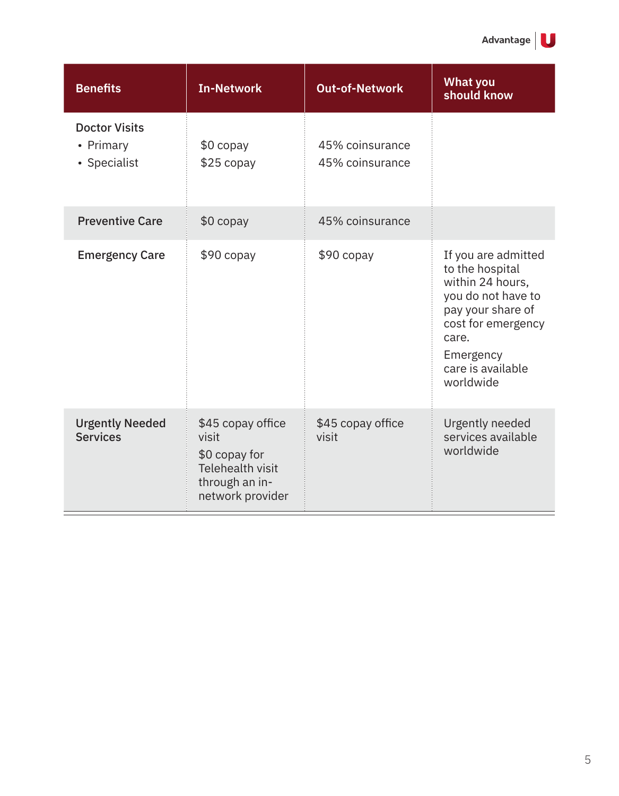| <b>Benefits</b>                                   | <b>In-Network</b>                                                                                            | <b>Out-of-Network</b>              | <b>What you</b><br>should know                                                                                                                                                      |
|---------------------------------------------------|--------------------------------------------------------------------------------------------------------------|------------------------------------|-------------------------------------------------------------------------------------------------------------------------------------------------------------------------------------|
| <b>Doctor Visits</b><br>• Primary<br>• Specialist | $$0$ copay<br>$$25$ copay                                                                                    | 45% coinsurance<br>45% coinsurance |                                                                                                                                                                                     |
| <b>Preventive Care</b>                            | \$0 copay                                                                                                    | 45% coinsurance                    |                                                                                                                                                                                     |
| <b>Emergency Care</b>                             | $$90$ copay                                                                                                  | $$90$ copay                        | If you are admitted<br>to the hospital<br>within 24 hours,<br>you do not have to<br>pay your share of<br>cost for emergency<br>care.<br>Emergency<br>care is available<br>worldwide |
| <b>Urgently Needed</b><br><b>Services</b>         | \$45 copay office<br>visit<br>\$0 copay for<br><b>Telehealth visit</b><br>through an in-<br>network provider | \$45 copay office<br>visit         | Urgently needed<br>services available<br>worldwide                                                                                                                                  |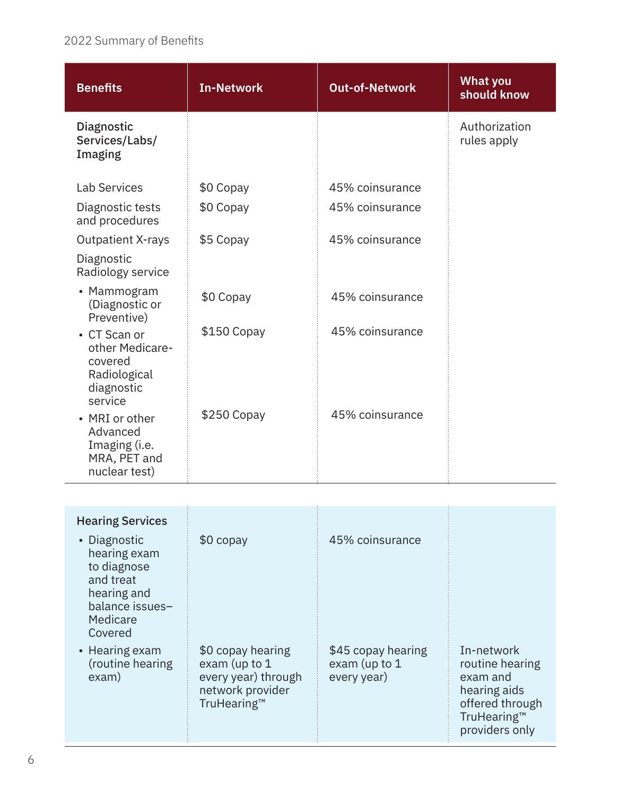| <b>Benefits</b>                                                                     | <b>In-Network</b> | <b>Out-of-Network</b> | <b>What you</b><br>should know |
|-------------------------------------------------------------------------------------|-------------------|-----------------------|--------------------------------|
| Diagnostic<br>Services/Labs/<br>Imaging                                             |                   |                       | Authorization<br>rules apply   |
| <b>Lab Services</b>                                                                 | \$0 Copay         | 45% coinsurance       |                                |
| Diagnostic tests<br>and procedures                                                  | \$0 Copay         | 45% coinsurance       |                                |
| <b>Outpatient X-rays</b>                                                            | \$5 Copay         | 45% coinsurance       |                                |
| Diagnostic<br>Radiology service                                                     |                   |                       |                                |
| • Mammogram<br>(Diagnostic or<br>Preventive)                                        | \$0 Copay         | 45% coinsurance       |                                |
| • CT Scan or<br>other Medicare-<br>covered<br>Radiological<br>diagnostic<br>service | \$150 Copay       | 45% coinsurance       |                                |
| • MRI or other<br>Advanced<br>Imaging (i.e.<br>MRA, PET and<br>nuclear test)        | $$250$ Copay      | 45% coinsurance       |                                |

| <b>Hearing Services</b><br>• Diagnostic<br>hearing exam<br>to diagnose<br>and treat | $$0$ copay                                                                                   | 45% coinsurance                                    |                                                                                                               |
|-------------------------------------------------------------------------------------|----------------------------------------------------------------------------------------------|----------------------------------------------------|---------------------------------------------------------------------------------------------------------------|
| hearing and<br>balance issues-<br>Medicare<br>Covered                               |                                                                                              |                                                    |                                                                                                               |
| • Hearing exam<br>(routine hearing<br>exam)                                         | \$0 copay hearing<br>exam (up to 1<br>every year) through<br>network provider<br>TruHearing™ | \$45 copay hearing<br>exam (up to 1<br>every year) | In-network<br>routine hearing<br>exam and<br>hearing aids<br>offered through<br>TruHearing™<br>providers only |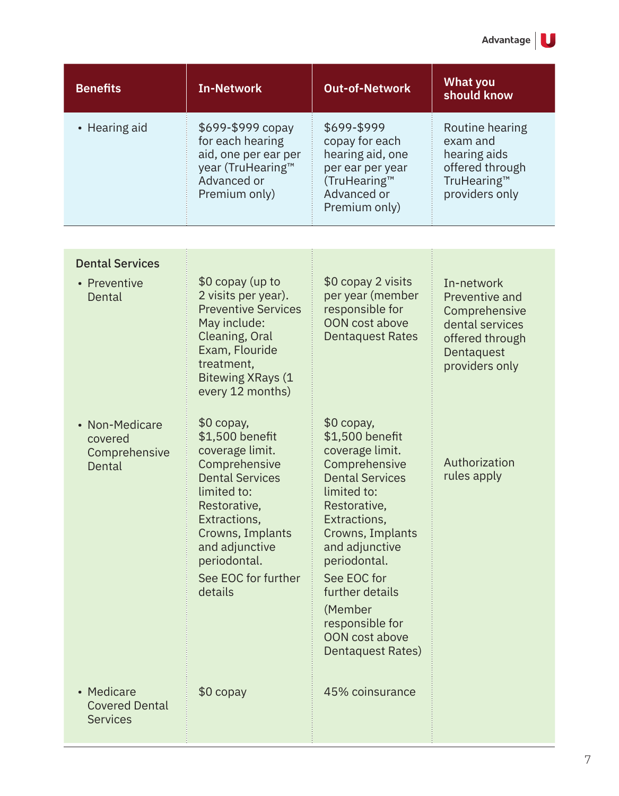| <b>Benefits</b> | <b>In-Network</b>                                                                                                  | <b>Out-of-Network</b>                                                                                                 | <b>What you</b><br>should know                                                                  |
|-----------------|--------------------------------------------------------------------------------------------------------------------|-----------------------------------------------------------------------------------------------------------------------|-------------------------------------------------------------------------------------------------|
| • Hearing aid   | \$699-\$999 copay<br>for each hearing<br>aid, one per ear per<br>year (TruHearing™<br>Advanced or<br>Premium only) | \$699-\$999<br>copay for each<br>hearing aid, one<br>per ear per year<br>(TruHearing™<br>Advanced or<br>Premium only) | Routine hearing<br>exam and<br>hearing aids<br>offered through<br>TruHearing™<br>providers only |

| <b>Dental Services</b><br>• Preventive<br>Dental       | \$0 copay (up to<br>2 visits per year).<br><b>Preventive Services</b><br>May include:<br>Cleaning, Oral<br>Exam, Flouride<br>treatment,                                                                                                           | \$0 copay 2 visits<br>per year (member<br>responsible for<br><b>OON</b> cost above<br><b>Dentaquest Rates</b>                                                                                     | In-network<br>Preventive and<br>Comprehensive<br>dental services<br>offered through<br>Dentaquest<br>providers only |
|--------------------------------------------------------|---------------------------------------------------------------------------------------------------------------------------------------------------------------------------------------------------------------------------------------------------|---------------------------------------------------------------------------------------------------------------------------------------------------------------------------------------------------|---------------------------------------------------------------------------------------------------------------------|
| • Non-Medicare<br>covered<br>Comprehensive<br>Dental   | <b>Bitewing XRays (1</b><br>every 12 months)<br>$$0$ copay,<br>\$1,500 benefit<br>coverage limit.<br>Comprehensive<br><b>Dental Services</b><br>limited to:<br>Restorative,<br>Extractions,<br>Crowns, Implants<br>and adjunctive<br>periodontal. | $$0$ copay,<br>\$1,500 benefit<br>coverage limit.<br>Comprehensive<br><b>Dental Services</b><br>limited to:<br>Restorative,<br>Extractions,<br>Crowns, Implants<br>and adjunctive<br>periodontal. | Authorization<br>rules apply                                                                                        |
|                                                        | See EOC for further<br>details                                                                                                                                                                                                                    | See EOC for<br>further details<br>(Member<br>responsible for<br><b>OON</b> cost above<br>Dentaquest Rates)                                                                                        |                                                                                                                     |
| • Medicare<br><b>Covered Dental</b><br><b>Services</b> | $$0$ copay                                                                                                                                                                                                                                        | 45% coinsurance                                                                                                                                                                                   |                                                                                                                     |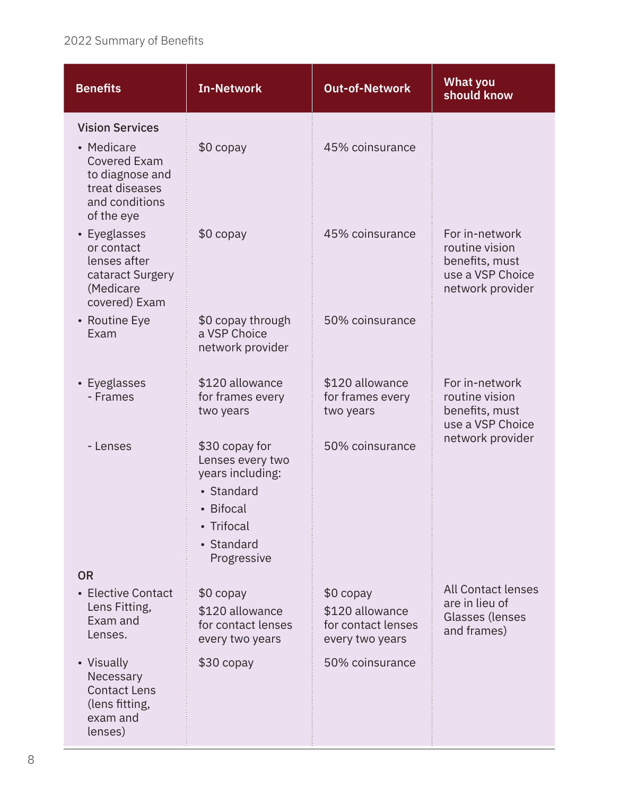| <b>Benefits</b>                                                                                                                  | <b>In-Network</b>                                                                                                            | <b>Out-of-Network</b>                                                 | <b>What you</b><br>should know                                                             |
|----------------------------------------------------------------------------------------------------------------------------------|------------------------------------------------------------------------------------------------------------------------------|-----------------------------------------------------------------------|--------------------------------------------------------------------------------------------|
| <b>Vision Services</b><br>• Medicare<br><b>Covered Exam</b><br>to diagnose and<br>treat diseases<br>and conditions<br>of the eye | $$0$ copay                                                                                                                   | 45% coinsurance                                                       |                                                                                            |
| • Eyeglasses<br>or contact<br>lenses after<br>cataract Surgery<br>(Medicare<br>covered) Exam                                     | $$0$ copay                                                                                                                   | 45% coinsurance                                                       | For in-network<br>routine vision<br>benefits, must<br>use a VSP Choice<br>network provider |
| • Routine Eye<br>Exam                                                                                                            | \$0 copay through<br>a VSP Choice<br>network provider                                                                        | 50% coinsurance                                                       |                                                                                            |
| • Eyeglasses<br>- Frames                                                                                                         | \$120 allowance<br>for frames every<br>two years                                                                             | \$120 allowance<br>for frames every<br>two years                      | For in-network<br>routine vision<br>benefits, must<br>use a VSP Choice                     |
| - Lenses                                                                                                                         | \$30 copay for<br>Lenses every two<br>years including:<br>• Standard<br>• Bifocal<br>• Trifocal<br>• Standard<br>Progressive | 50% coinsurance                                                       | network provider                                                                           |
| <b>OR</b>                                                                                                                        |                                                                                                                              |                                                                       |                                                                                            |
| • Elective Contact<br>Lens Fitting,<br>Exam and<br>Lenses.                                                                       | \$0 copay<br>\$120 allowance<br>for contact lenses<br>every two years                                                        | \$0 copay<br>\$120 allowance<br>for contact lenses<br>every two years | <b>All Contact lenses</b><br>are in lieu of<br>Glasses (lenses<br>and frames)              |
| • Visually<br>Necessary<br><b>Contact Lens</b><br>(lens fitting,<br>exam and<br>lenses)                                          | \$30 copay                                                                                                                   | 50% coinsurance                                                       |                                                                                            |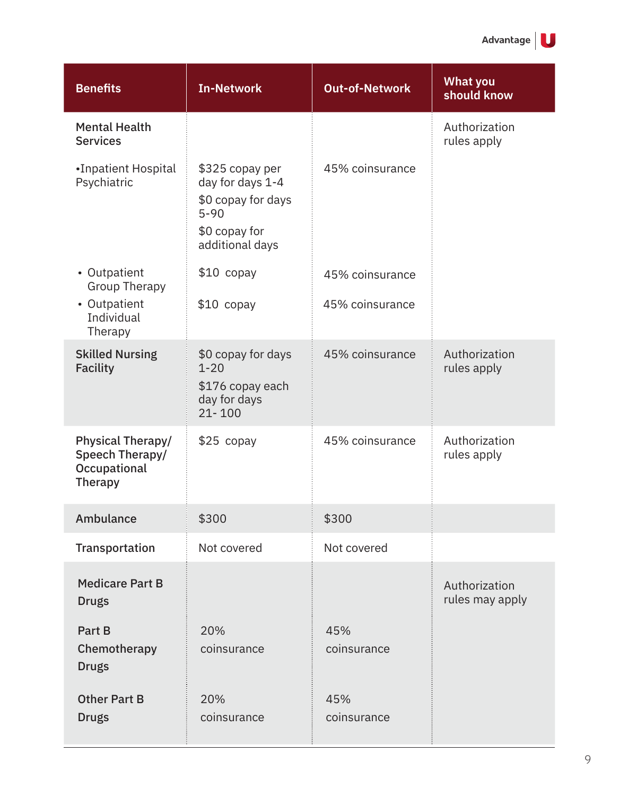| <b>Benefits</b>                                                        | <b>In-Network</b>                                                                                         | <b>Out-of-Network</b> | <b>What you</b><br>should know   |
|------------------------------------------------------------------------|-----------------------------------------------------------------------------------------------------------|-----------------------|----------------------------------|
| <b>Mental Health</b><br><b>Services</b>                                |                                                                                                           |                       | Authorization<br>rules apply     |
| •Inpatient Hospital<br>Psychiatric                                     | \$325 copay per<br>day for days 1-4<br>\$0 copay for days<br>$5 - 90$<br>\$0 copay for<br>additional days | 45% coinsurance       |                                  |
| • Outpatient<br><b>Group Therapy</b>                                   | $$10$ copay                                                                                               | 45% coinsurance       |                                  |
| • Outpatient<br>Individual<br>Therapy                                  | $$10$ copay                                                                                               | 45% coinsurance       |                                  |
| <b>Skilled Nursing</b><br><b>Facility</b>                              | \$0 copay for days<br>$1 - 20$<br>\$176 copay each<br>day for days<br>$21 - 100$                          | 45% coinsurance       | Authorization<br>rules apply     |
| <b>Physical Therapy/</b><br>Speech Therapy/<br>Occupational<br>Therapy | $$25$ copay                                                                                               | 45% coinsurance       | Authorization<br>rules apply     |
| Ambulance                                                              | \$300                                                                                                     | \$300                 |                                  |
| Transportation                                                         | Not covered                                                                                               | Not covered           |                                  |
| <b>Medicare Part B</b><br><b>Drugs</b>                                 |                                                                                                           |                       | Authorization<br>rules may apply |
| Part B<br>Chemotherapy<br><b>Drugs</b>                                 | 20%<br>coinsurance                                                                                        | 45%<br>coinsurance    |                                  |
| <b>Other Part B</b><br><b>Drugs</b>                                    | 20%<br>coinsurance                                                                                        | 45%<br>coinsurance    |                                  |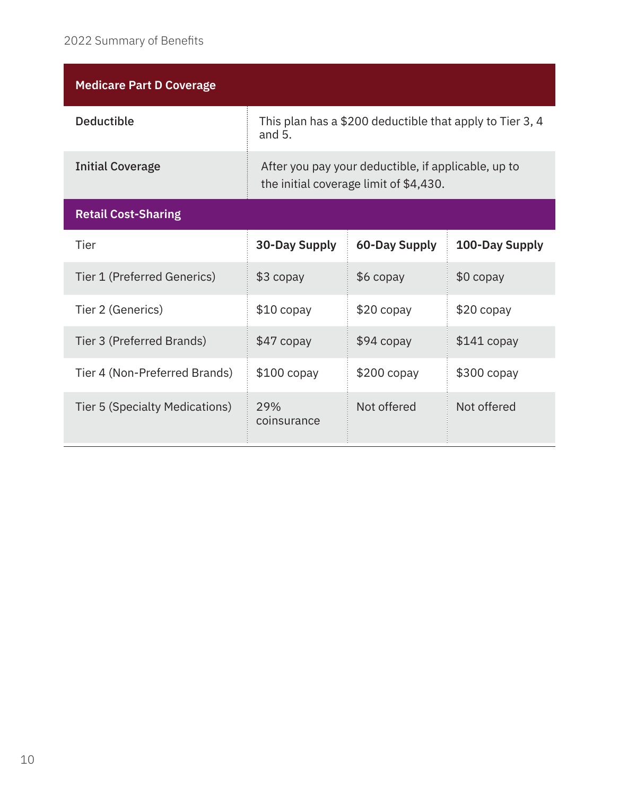| <b>Medicare Part D Coverage</b> |                      |                                                                                               |                |
|---------------------------------|----------------------|-----------------------------------------------------------------------------------------------|----------------|
| <b>Deductible</b>               | and $5.$             | This plan has a \$200 deductible that apply to Tier 3, 4                                      |                |
| <b>Initial Coverage</b>         |                      | After you pay your deductible, if applicable, up to<br>the initial coverage limit of \$4,430. |                |
| <b>Retail Cost-Sharing</b>      |                      |                                                                                               |                |
| Tier                            | <b>30-Day Supply</b> | <b>60-Day Supply</b>                                                                          | 100-Day Supply |
| Tier 1 (Preferred Generics)     | $$3$ copay           | $$6$ copay                                                                                    | $$0$ copay     |
| Tier 2 (Generics)               | $$10$ copay          | $$20$ copay                                                                                   | $$20$ copay    |
| Tier 3 (Preferred Brands)       | $$47$ copay          | $$94$ copay                                                                                   | $$141$ copay   |
| Tier 4 (Non-Preferred Brands)   | $$100$ copay         | $$200$ copay                                                                                  | $$300$ copay   |
| Tier 5 (Specialty Medications)  | 29%<br>coinsurance   | Not offered                                                                                   | Not offered    |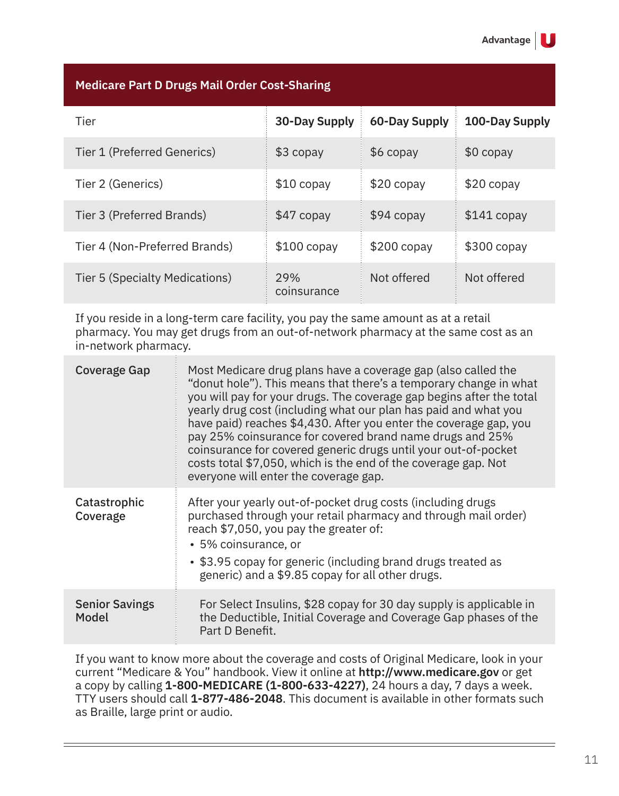| <b>Medicare Part D Drugs Mail Order Cost-Sharing</b> |                    |               |                |
|------------------------------------------------------|--------------------|---------------|----------------|
| Tier                                                 | 30-Day Supply      | 60-Day Supply | 100-Day Supply |
| Tier 1 (Preferred Generics)                          | $$3$ copay         | $$6$ copay    | $$0$ copay     |
| Tier 2 (Generics)                                    | $$10$ copay        | $$20$ copay   | $$20$ copay    |
| Tier 3 (Preferred Brands)                            | $$47$ copay        | $$94$ copay   | $$141$ copay   |
| Tier 4 (Non-Preferred Brands)                        | $$100$ copay       | $$200$ copay  | $$300$ copay   |
| Tier 5 (Specialty Medications)                       | 29%<br>coinsurance | Not offered   | Not offered    |

If you reside in a long-term care facility, you pay the same amount as at a retail pharmacy. You may get drugs from an out-of-network pharmacy at the same cost as an in-network pharmacy.

| Coverage Gap                   | Most Medicare drug plans have a coverage gap (also called the<br>"donut hole"). This means that there's a temporary change in what<br>you will pay for your drugs. The coverage gap begins after the total<br>yearly drug cost (including what our plan has paid and what you<br>have paid) reaches \$4,430. After you enter the coverage gap, you<br>pay 25% coinsurance for covered brand name drugs and 25%<br>coinsurance for covered generic drugs until your out-of-pocket<br>costs total \$7,050, which is the end of the coverage gap. Not<br>everyone will enter the coverage gap. |
|--------------------------------|---------------------------------------------------------------------------------------------------------------------------------------------------------------------------------------------------------------------------------------------------------------------------------------------------------------------------------------------------------------------------------------------------------------------------------------------------------------------------------------------------------------------------------------------------------------------------------------------|
| Catastrophic<br>Coverage       | After your yearly out-of-pocket drug costs (including drugs<br>purchased through your retail pharmacy and through mail order)<br>reach \$7,050, you pay the greater of:<br>• 5% coinsurance, or<br>• \$3.95 copay for generic (including brand drugs treated as<br>generic) and a \$9.85 copay for all other drugs.                                                                                                                                                                                                                                                                         |
| <b>Senior Savings</b><br>Model | For Select Insulins, \$28 copay for 30 day supply is applicable in<br>the Deductible, Initial Coverage and Coverage Gap phases of the<br>Part D Benefit.                                                                                                                                                                                                                                                                                                                                                                                                                                    |

If you want to know more about the coverage and costs of Original Medicare, look in your current "Medicare & You" handbook. View it online at **http://www.medicare.gov** or get a copy by calling **1-800-MEDICARE (1-800-633-4227)**, 24 hours a day, 7 days a week. TTY users should call **1-877-486-2048**. This document is available in other formats such as Braille, large print or audio.